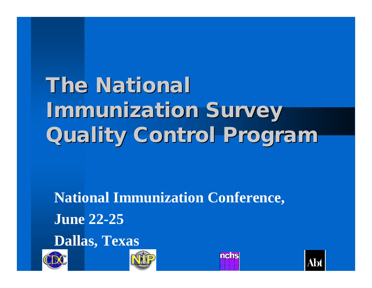# **The National Immunization Survey Quality Control Program**

**National Immunization Conference, June 22-25**

**Dallas, Texas**







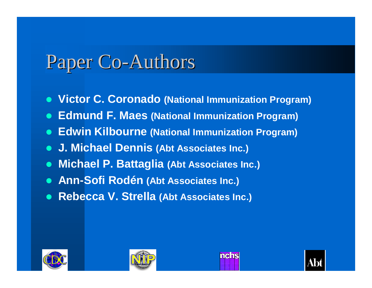### Paper Co-Authors

- **. Victor C. Coronado (National Immunization Program)**
- **Edmund F. Maes (National Immunization Program)**
- **Edwin Kilbourne (National Immunization Program)**
- l **J. Michael Dennis (Abt Associates Inc.)**
- **Michael P. Battaglia (Abt Associates Inc.)**
- **Ann-Sofi Rodén (Abt Associates Inc.)**
- l **Rebecca V. Strella (Abt Associates Inc.)**







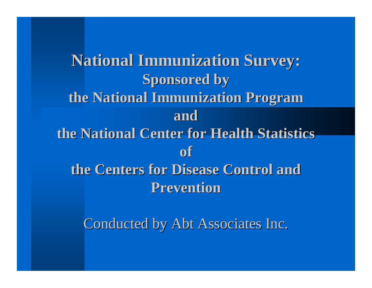**National Immunization Survey: Sponsored by the National Immunization Program and the National Center for Health Statistics of the Centers for Disease Control and Prevention**

Conducted by Abt Associates Inc.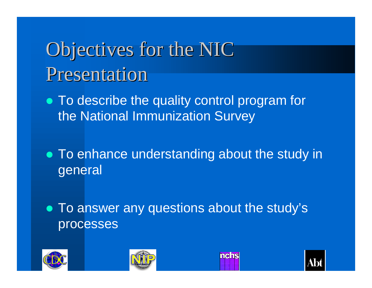## Objectives for the NIC Presentation

- To describe the quality control program for the National Immunization Survey
- To enhance understanding about the study in general
- To answer any questions about the study's processes

mens



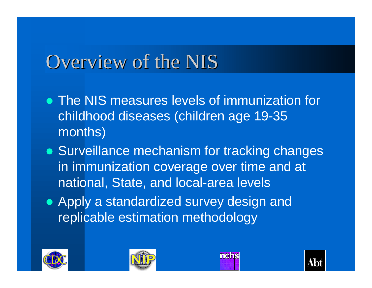### Overview of the NIS

- The NIS measures levels of immunization for childhood diseases (children age 19-35 months)
- Surveillance mechanism for tracking changes in immunization coverage over time and at national, State, and local-area levels
- Apply a standardized survey design and replicable estimation methodology







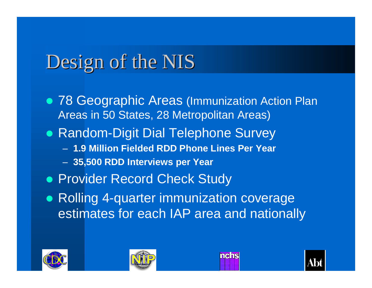### Design of the NIS

- 78 Geographic Areas (Immunization Action Plan Areas in 50 States, 28 Metropolitan Areas)
- Random-Digit Dial Telephone Survey
	- **1.9 Million Fielded RDD Phone Lines Per Year**
	- **35,500 RDD Interviews per Year**
- **Provider Record Check Study**
- Rolling 4-quarter immunization coverage estimates for each IAP area and nationally







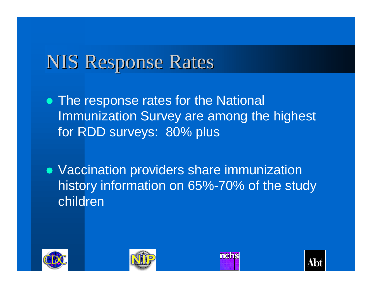### NIS Response Rates

- The response rates for the National Immunization Survey are among the highest for RDD surveys: 80% plus
- Vaccination providers share immunization history information on 65%-70% of the study children







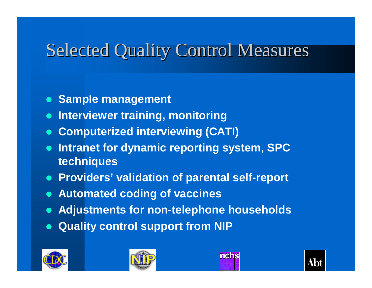#### Selected Quality Control Measures

- **Sample management**
- **Interviewer training, monitoring**
- **Computerized interviewing (CATI)**
- **Intranet for dynamic reporting system, SPC techniques**
- **Providers' validation of parental self-report**
- **Automated coding of vaccines**
- l **Adjustments for non-telephone households**
- **Quality control support from NIP**







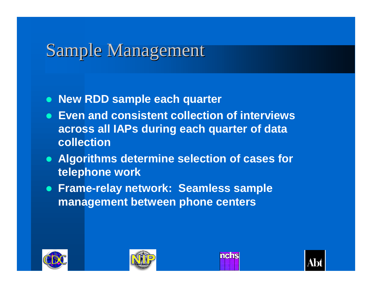#### Sample Management

- **New RDD sample each quarter**
- **Even and consistent collection of interviews across all IAPs during each quarter of data collection**
- **Algorithms determine selection of cases for telephone work**
- **Frame-relay network: Seamless sample management between phone centers**







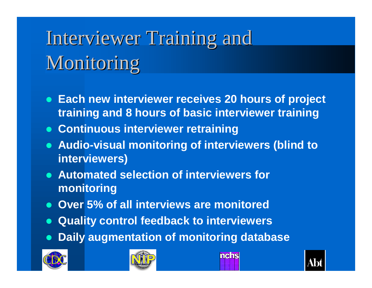# Interviewer Training and Monitoring

- **Each new interviewer receives 20 hours of project training and 8 hours of basic interviewer training**
- $\bullet$  **Continuous interviewer retraining**
- **Audio-visual monitoring of interviewers (blind to interviewers)**
- **Automated selection of interviewers for monitoring**
- **Over 5% of all interviews are monitored**
- **Quality control feedback to interviewers**
- **Daily augmentation of monitoring database**





mehs

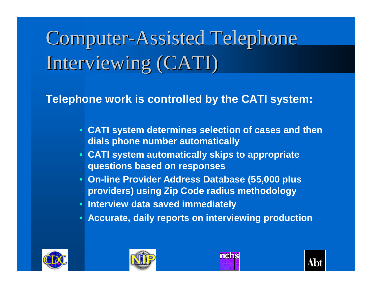# Computer-Assisted Telephone Interviewing (CATI)

**Telephone work is controlled by the CATI system:**

- **CATI system determines selection of cases and then dials phone number automatically**
- **CATI system automatically skips to appropriate questions based on responses**
- **On-line Provider Address Database (55,000 plus providers) using Zip Code radius methodology**
- **Interview data saved immediately**
- **Accurate, daily reports on interviewing production**







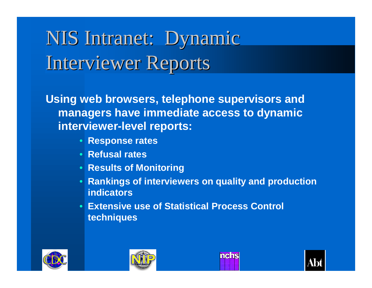## NIS Intranet: Dynamic Interviewer Reports

**Using web browsers, telephone supervisors and managers have immediate access to dynamic interviewer-level reports:**

- **Response rates**
- **Refusal rates**
- **Results of Monitoring**
- **Rankings of interviewers on quality and production indicators**
- **Extensive use of Statistical Process Control techniques**







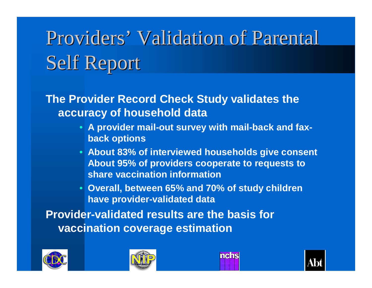# Providers' Validation of Parental Self Report

**The Provider Record Check Study validates the accuracy of household data**

- **A provider mail-out survey with mail-back and faxback options**
- **About 83% of interviewed households give consent About 95% of providers cooperate to requests to share vaccination information**
- **Overall, between 65% and 70% of study children have provider-validated data**

**Provider-validated results are the basis for vaccination coverage estimation**







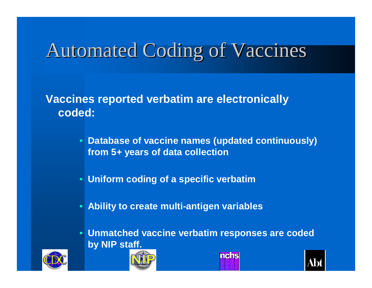### Automated Coding of Vaccines

**Vaccines reported verbatim are electronically coded:**

- **Database of vaccine names (updated continuously) from 5+ years of data collection**
- **Uniform coding of a specific verbatim**
- **Ability to create multi-antigen variables**
- **Unmatched vaccine verbatim responses are coded by NIP staff.**







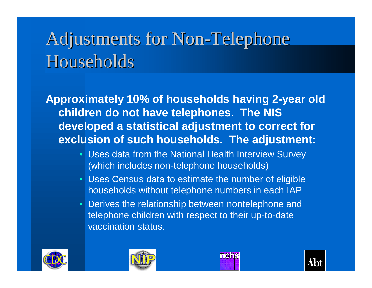### Adjustments for Non-Telephone **Households**

**Approximately 10% of households having 2-year old children do not have telephones. The NIS developed a statistical adjustment to correct for exclusion of such households. The adjustment:**

- Uses data from the National Health Interview Survey (which includes non-telephone households)
- Uses Census data to estimate the number of eligible households without telephone numbers in each IAP
- Derives the relationship between nontelephone and telephone children with respect to their up-to-date vaccination status.







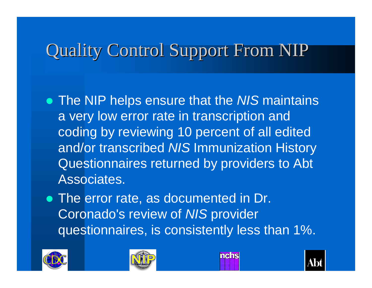#### Quality Control Support From NIP

- **The NIP helps ensure that the NIS maintains** a very low error rate in transcription and coding by reviewing 10 percent of all edited and/or transcribed *NIS* Immunization History Questionnaires returned by providers to Abt Associates.
- The error rate, as documented in Dr. Coronado's review of *NIS* provider questionnaires, is consistently less than 1%.







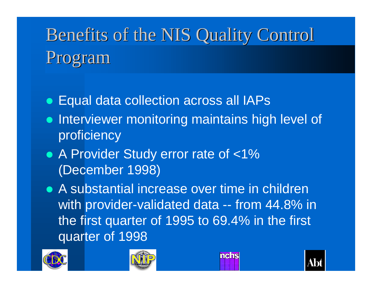## Benefits of the NIS Quality Control Program

- Equal data collection across all IAPs
- Interviewer monitoring maintains high level of proficiency
- A Provider Study error rate of <1% (December 1998)
- A substantial increase over time in children with provider-validated data -- from 44.8% in the first quarter of 1995 to 69.4% in the first quarter of 1998